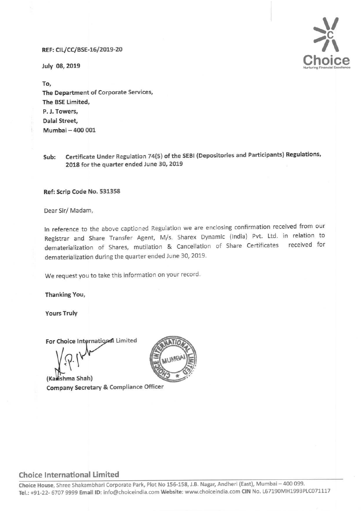## REF: CIL/CC/BSE-16/2019-20

July 08, 2019



To, The Department of Corporate Services, The BSE Limited, P. J. Towers, Dalal Street, Mumbai - 400 001

Sub: Certificate Under Regulation 74(5} of the SEBI (Depositories and Participants) Regulations, 2018 for the quarter ended June 30, 2019

## Ref: Scrip Code No. 531358

Dear Sir/ Madam,

In reference to the above captioned Regulation we are enclosing confirmation received from our Registrar and Share Transfer Agent, M/s. Sharex Dynamic (India) Pvt. Ltd. in relation to dematerialization of Shares, mutilation & Cancellation of Share Certificates received for dematerialization during the quarter ended June 30, 2019.

We request you to take this information on your record.

Thanking You,

Yours Truly

For Choice International Limited

 $V_{P_{1}}V_{1}$ 

(Karishma Shah) Company Secretary & Compliance Officer



## Choice International Limited